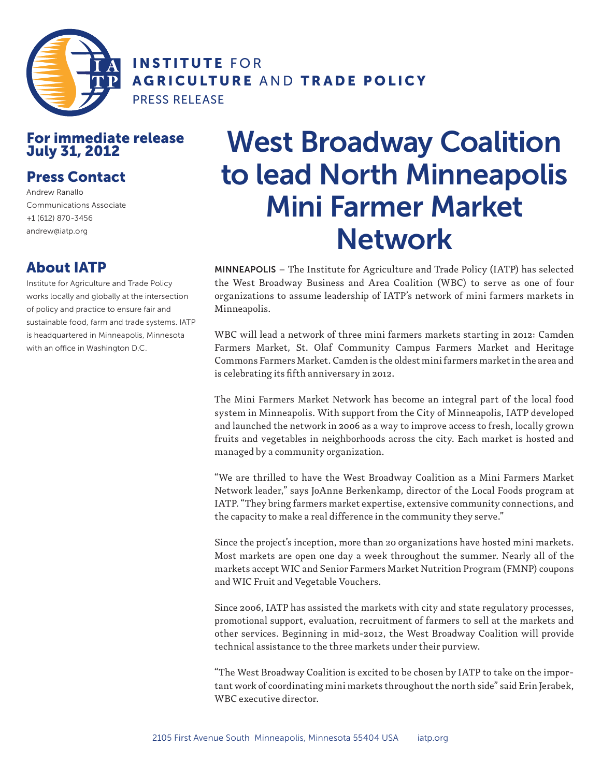

INSTITUTE FOR AGRICULTURE AND TRADE POLICY

PRESS RELEASE

## For immediate release July 31, 2012

## Press Contact

Andrew Ranallo Communications Associate +1 (612) 870-3456 andrew@iatp.org

## About IATP

Institute for Agriculture and Trade Policy works locally and globally at the intersection of policy and practice to ensure fair and sustainable food, farm and trade systems. IATP is headquartered in Minneapolis, Minnesota with an office in Washington D.C.

## West Broadway Coalition to lead North Minneapolis Mini Farmer Market Network

MINNEAPOLIS – The Institute for Agriculture and Trade Policy (IATP) has selected the West Broadway Business and Area Coalition (WBC) to serve as one of four organizations to assume leadership of IATP's network of mini farmers markets in Minneapolis.

WBC will lead a network of three mini farmers markets starting in 2012: Camden Farmers Market, St. Olaf Community Campus Farmers Market and Heritage Commons Farmers Market. Camden is the oldest mini farmers market in the area and is celebrating its fifth anniversary in 2012.

The Mini Farmers Market Network has become an integral part of the local food system in Minneapolis. With support from the City of Minneapolis, IATP developed and launched the network in 2006 as a way to improve access to fresh, locally grown fruits and vegetables in neighborhoods across the city. Each market is hosted and managed by a community organization.

"We are thrilled to have the West Broadway Coalition as a Mini Farmers Market Network leader," says JoAnne Berkenkamp, director of the Local Foods program at IATP. "They bring farmers market expertise, extensive community connections, and the capacity to make a real difference in the community they serve."

Since the project's inception, more than 20 organizations have hosted mini markets. Most markets are open one day a week throughout the summer. Nearly all of the markets accept WIC and Senior Farmers Market Nutrition Program (FMNP) coupons and WIC Fruit and Vegetable Vouchers.

Since 2006, IATP has assisted the markets with city and state regulatory processes, promotional support, evaluation, recruitment of farmers to sell at the markets and other services. Beginning in mid-2012, the West Broadway Coalition will provide technical assistance to the three markets under their purview.

"The West Broadway Coalition is excited to be chosen by IATP to take on the important work of coordinating mini markets throughout the north side" said Erin Jerabek, WBC executive director.